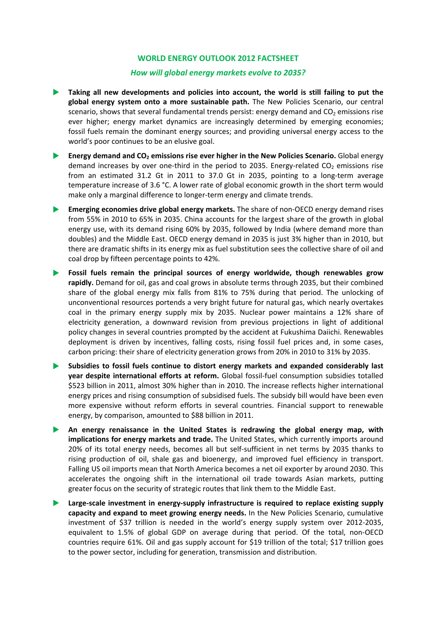#### *How will global energy markets evolve to 2035?*

- **Taking all new developments and policies into account, the world is still failing to put the global energy system onto a more sustainable path.** The New Policies Scenario, our central scenario, shows that several fundamental trends persist: energy demand and  $CO<sub>2</sub>$  emissions rise ever higher; energy market dynamics are increasingly determined by emerging economies; fossil fuels remain the dominant energy sources; and providing universal energy access to the world's poor continues to be an elusive goal.
- **Energy demand and CO2 emissions rise ever higher in the New Policies Scenario.** Global energy demand increases by over one-third in the period to 2035. Energy-related  $CO<sub>2</sub>$  emissions rise from an estimated 31.2 Gt in 2011 to 37.0 Gt in 2035, pointing to a long-term average temperature increase of 3.6 °C. A lower rate of global economic growth in the short term would make only a marginal difference to longer-term energy and climate trends.
- **Emerging economies drive global energy markets.** The share of non‐OECD energy demand rises from 55% in 2010 to 65% in 2035. China accounts for the largest share of the growth in global energy use, with its demand rising 60% by 2035, followed by India (where demand more than doubles) and the Middle East. OECD energy demand in 2035 is just 3% higher than in 2010, but there are dramatic shifts in its energy mix as fuel substitution sees the collective share of oil and coal drop by fifteen percentage points to 42%.
- **Fossil fuels remain the principal sources of energy worldwide, though renewables grow rapidly.** Demand for oil, gas and coal grows in absolute terms through 2035, but their combined share of the global energy mix falls from 81% to 75% during that period. The unlocking of unconventional resources portends a very bright future for natural gas, which nearly overtakes coal in the primary energy supply mix by 2035. Nuclear power maintains a 12% share of electricity generation, a downward revision from previous projections in light of additional policy changes in several countries prompted by the accident at Fukushima Daiichi. Renewables deployment is driven by incentives, falling costs, rising fossil fuel prices and, in some cases, carbon pricing: their share of electricity generation grows from 20% in 2010 to 31% by 2035.
- **Subsidies to fossil fuels continue to distort energy markets and expanded considerably last year despite international efforts at reform.** Global fossil‐fuel consumption subsidies totalled \$523 billion in 2011, almost 30% higher than in 2010. The increase reflects higher international energy prices and rising consumption of subsidised fuels. The subsidy bill would have been even more expensive without reform efforts in several countries. Financial support to renewable energy, by comparison, amounted to \$88 billion in 2011.
- **An energy renaissance in the United States is redrawing the global energy map, with implications for energy markets and trade.** The United States, which currently imports around 20% of its total energy needs, becomes all but self‐sufficient in net terms by 2035 thanks to rising production of oil, shale gas and bioenergy, and improved fuel efficiency in transport. Falling US oil imports mean that North America becomes a net oil exporter by around 2030. This accelerates the ongoing shift in the international oil trade towards Asian markets, putting greater focus on the security of strategic routes that link them to the Middle East.
- **Large‐scale investment in energy‐supply infrastructure is required to replace existing supply capacity and expand to meet growing energy needs.** In the New Policies Scenario, cumulative investment of \$37 trillion is needed in the world's energy supply system over 2012‐2035, equivalent to 1.5% of global GDP on average during that period. Of the total, non‐OECD countries require 61%. Oil and gas supply account for \$19 trillion of the total; \$17 trillion goes to the power sector, including for generation, transmission and distribution.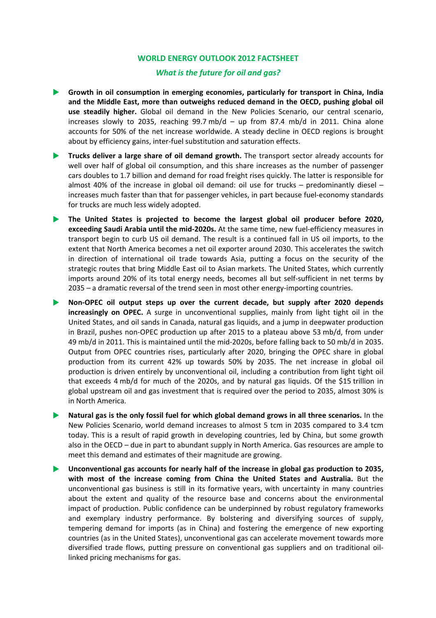# *What is the future for oil and gas?*

- **Growth in oil consumption in emerging economies, particularly for transport in China, India and the Middle East, more than outweighs reduced demand in the OECD, pushing global oil use steadily higher.** Global oil demand in the New Policies Scenario, our central scenario, increases slowly to 2035, reaching  $99.7 \text{ mb/d} - \text{up from } 87.4 \text{ mb/d in } 2011$ . China alone accounts for 50% of the net increase worldwide. A steady decline in OECD regions is brought about by efficiency gains, inter-fuel substitution and saturation effects.
- **Trucks deliver a large share of oil demand growth.** The transport sector already accounts for well over half of global oil consumption, and this share increases as the number of passenger cars doubles to 1.7 billion and demand for road freight rises quickly. The latter is responsible for almost 40% of the increase in global oil demand: oil use for trucks – predominantly diesel – increases much faster than that for passenger vehicles, in part because fuel‐economy standards for trucks are much less widely adopted.
- **The United States is projected to become the largest global oil producer before 2020, exceeding Saudi Arabia until the mid‐2020s.** At the same time, new fuel‐efficiency measures in transport begin to curb US oil demand. The result is a continued fall in US oil imports, to the extent that North America becomes a net oil exporter around 2030. This accelerates the switch in direction of international oil trade towards Asia, putting a focus on the security of the strategic routes that bring Middle East oil to Asian markets. The United States, which currently imports around 20% of its total energy needs, becomes all but self-sufficient in net terms by 2035 – a dramatic reversal of the trend seen in most other energy‐importing countries.
- **Non‐OPEC oil output steps up over the current decade, but supply after 2020 depends increasingly on OPEC.** A surge in unconventional supplies, mainly from light tight oil in the United States, and oil sands in Canada, natural gas liquids, and a jump in deepwater production in Brazil, pushes non‐OPEC production up after 2015 to a plateau above 53 mb/d, from under 49 mb/d in 2011. This is maintained until the mid‐2020s, before falling back to 50 mb/d in 2035. Output from OPEC countries rises, particularly after 2020, bringing the OPEC share in global production from its current 42% up towards 50% by 2035. The net increase in global oil production is driven entirely by unconventional oil, including a contribution from light tight oil that exceeds 4 mb/d for much of the 2020s, and by natural gas liquids. Of the \$15 trillion in global upstream oil and gas investment that is required over the period to 2035, almost 30% is in North America.
- **Natural gas is the only fossil fuel for which global demand grows in all three scenarios.** In the New Policies Scenario, world demand increases to almost 5 tcm in 2035 compared to 3.4 tcm today. This is a result of rapid growth in developing countries, led by China, but some growth also in the OECD – due in part to abundant supply in North America. Gas resources are ample to meet this demand and estimates of their magnitude are growing.
- **Unconventional gas accounts for nearly half of the increase in global gas production to 2035, with most of the increase coming from China the United States and Australia.** But the unconventional gas business is still in its formative years, with uncertainty in many countries about the extent and quality of the resource base and concerns about the environmental impact of production. Public confidence can be underpinned by robust regulatory frameworks and exemplary industry performance. By bolstering and diversifying sources of supply, tempering demand for imports (as in China) and fostering the emergence of new exporting countries (as in the United States), unconventional gas can accelerate movement towards more diversified trade flows, putting pressure on conventional gas suppliers and on traditional oil‐ linked pricing mechanisms for gas.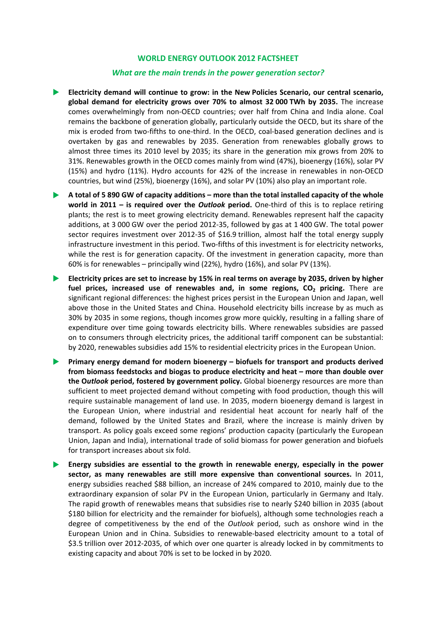#### *What are the main trends in the power generation sector?*

- **Electricity demand will continue to grow: in the New Policies Scenario, our central scenario, global demand for electricity grows over 70% to almost 32 000 TWh by 2035.** The increase comes overwhelmingly from non‐OECD countries; over half from China and India alone. Coal remains the backbone of generation globally, particularly outside the OECD, but its share of the mix is eroded from two-fifths to one-third. In the OECD, coal-based generation declines and is overtaken by gas and renewables by 2035. Generation from renewables globally grows to almost three times its 2010 level by 2035; its share in the generation mix grows from 20% to 31%. Renewables growth in the OECD comes mainly from wind (47%), bioenergy (16%), solar PV (15%) and hydro (11%). Hydro accounts for 42% of the increase in renewables in non‐OECD countries, but wind (25%), bioenergy (16%), and solar PV (10%) also play an important role.
- A total of 5 890 GW of capacity additions more than the total installed capacity of the whole **world in 2011 – is required over the** *Outlook* **period.** One‐third of this is to replace retiring plants; the rest is to meet growing electricity demand. Renewables represent half the capacity additions, at 3 000 GW over the period 2012‐35, followed by gas at 1 400 GW. The total power sector requires investment over 2012‐35 of \$16.9 trillion, almost half the total energy supply infrastructure investment in this period. Two‐fifths of this investment is for electricity networks, while the rest is for generation capacity. Of the investment in generation capacity, more than 60% is for renewables – principally wind (22%), hydro (16%), and solar PV (13%).
- **Electricity prices are set to increase by 15% in real terms on average by 2035, driven by higher fuel prices, increased use of renewables and, in some regions, CO2 pricing.** There are significant regional differences: the highest prices persist in the European Union and Japan, well above those in the United States and China. Household electricity bills increase by as much as 30% by 2035 in some regions, though incomes grow more quickly, resulting in a falling share of expenditure over time going towards electricity bills. Where renewables subsidies are passed on to consumers through electricity prices, the additional tariff component can be substantial: by 2020, renewables subsidies add 15% to residential electricity prices in the European Union.
- **Primary energy demand for modern bioenergy – biofuels for transport and products derived from biomass feedstocks and biogas to produce electricity and heat – more than double over the O***utlook* **period, fostered by government policy.** Global bioenergy resources are more than sufficient to meet projected demand without competing with food production, though this will require sustainable management of land use. In 2035, modern bioenergy demand is largest in the European Union, where industrial and residential heat account for nearly half of the demand, followed by the United States and Brazil, where the increase is mainly driven by transport. As policy goals exceed some regions' production capacity (particularly the European Union, Japan and India), international trade of solid biomass for power generation and biofuels for transport increases about six fold.
- **Energy subsidies are essential to the growth in renewable energy, especially in the power sector, as many renewables are still more expensive than conventional sources.** In 2011, energy subsidies reached \$88 billion, an increase of 24% compared to 2010, mainly due to the extraordinary expansion of solar PV in the European Union, particularly in Germany and Italy. The rapid growth of renewables means that subsidies rise to nearly \$240 billion in 2035 (about \$180 billion for electricity and the remainder for biofuels), although some technologies reach a degree of competitiveness by the end of the *Outlook* period, such as onshore wind in the European Union and in China. Subsidies to renewable‐based electricity amount to a total of \$3.5 trillion over 2012‐2035, of which over one quarter is already locked in by commitments to existing capacity and about 70% is set to be locked in by 2020.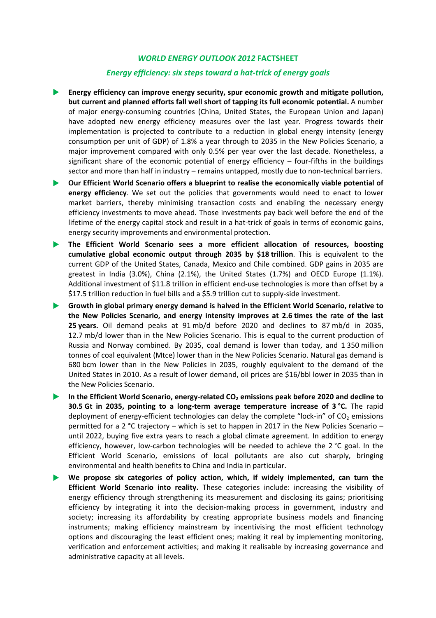#### *Energy efficiency: six steps toward a hat‐trick of energy goals*

- **Energy efficiency can improve energy security, spur economic growth and mitigate pollution, but current and planned efforts fall well short of tapping its full economic potential.** A number of major energy‐consuming countries (China, United States, the European Union and Japan) have adopted new energy efficiency measures over the last year. Progress towards their implementation is projected to contribute to a reduction in global energy intensity (energy consumption per unit of GDP) of 1.8% a year through to 2035 in the New Policies Scenario, a major improvement compared with only 0.5% per year over the last decade. Nonetheless, a significant share of the economic potential of energy efficiency – four-fifths in the buildings sector and more than half in industry – remains untapped, mostly due to non-technical barriers.
- **Our Efficient World Scenario offers a blueprint to realise the economically viable potential of energy efficiency**. We set out the policies that governments would need to enact to lower market barriers, thereby minimising transaction costs and enabling the necessary energy efficiency investments to move ahead. Those investments pay back well before the end of the lifetime of the energy capital stock and result in a hat-trick of goals in terms of economic gains, energy security improvements and environmental protection.
- **The Efficient World Scenario sees a more efficient allocation of resources, boosting cumulative global economic output through 2035 by \$18 trillion**. This is equivalent to the current GDP of the United States, Canada, Mexico and Chile combined. GDP gains in 2035 are greatest in India (3.0%), China (2.1%), the United States (1.7%) and OECD Europe (1.1%). Additional investment of \$11.8 trillion in efficient end-use technologies is more than offset by a \$17.5 trillion reduction in fuel bills and a \$5.9 trillion cut to supply‐side investment.
- **Growth in global primary energy demand is halved in the Efficient World Scenario, relative to the New Policies Scenario, and energy intensity improves at 2.6 times the rate of the last 25 years.** Oil demand peaks at 91 mb/d before 2020 and declines to 87 mb/d in 2035, 12.7 mb/d lower than in the New Policies Scenario. This is equal to the current production of Russia and Norway combined. By 2035, coal demand is lower than today, and 1 350 million tonnes of coal equivalent (Mtce) lower than in the New Policies Scenario. Natural gas demand is 680 bcm lower than in the New Policies in 2035, roughly equivalent to the demand of the United States in 2010. As a result of lower demand, oil prices are \$16/bbl lower in 2035 than in the New Policies Scenario.
- **In the Efficient World Scenario, energy‐related CO2 emissions peak before 2020 and decline to 30.5 Gt in 2035, pointing to a long‐term average temperature increase of 3 °C.** The rapid deployment of energy-efficient technologies can delay the complete "lock-in" of  $CO<sub>2</sub>$  emissions permitted for a 2 **°**C trajectory – which is set to happen in 2017 in the New Policies Scenario – until 2022, buying five extra years to reach a global climate agreement. In addition to energy efficiency, however, low-carbon technologies will be needed to achieve the 2 °C goal. In the Efficient World Scenario, emissions of local pollutants are also cut sharply, bringing environmental and health benefits to China and India in particular.
- **We propose six categories of policy action, which, if widely implemented, can turn the Efficient World Scenario into reality.** These categories include: increasing the visibility of energy efficiency through strengthening its measurement and disclosing its gains; prioritising efficiency by integrating it into the decision‐making process in government, industry and society; increasing its affordability by creating appropriate business models and financing instruments; making efficiency mainstream by incentivising the most efficient technology options and discouraging the least efficient ones; making it real by implementing monitoring, verification and enforcement activities; and making it realisable by increasing governance and administrative capacity at all levels.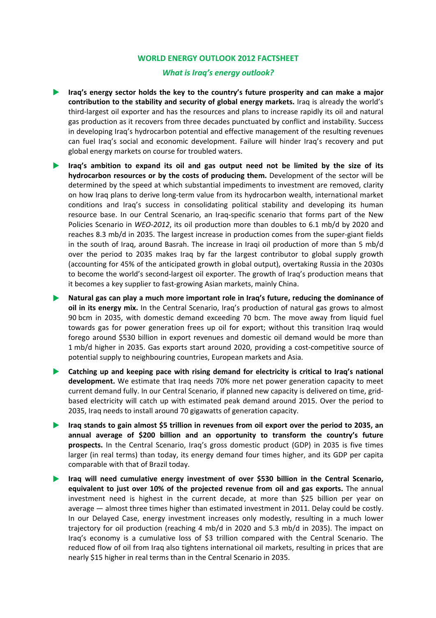## *What is Iraq's energy outlook?*

- **Iraq's energy sector holds the key to the country's future prosperity and can make a major contribution to the stability and security of global energy markets.** Iraq is already the world's third‐largest oil exporter and has the resources and plans to increase rapidly its oil and natural gas production as it recovers from three decades punctuated by conflict and instability. Success in developing Iraq's hydrocarbon potential and effective management of the resulting revenues can fuel Iraq's social and economic development. Failure will hinder Iraq's recovery and put global energy markets on course for troubled waters.
- **Iraq's ambition to expand its oil and gas output need not be limited by the size of its hydrocarbon resources or by the costs of producing them.** Development of the sector will be determined by the speed at which substantial impediments to investment are removed, clarity on how Iraq plans to derive long‐term value from its hydrocarbon wealth, international market conditions and Iraq's success in consolidating political stability and developing its human resource base. In our Central Scenario, an Iraq-specific scenario that forms part of the New Policies Scenario in *WEO‐2012*, its oil production more than doubles to 6.1 mb/d by 2020 and reaches 8.3 mb/d in 2035. The largest increase in production comes from the super‐giant fields in the south of Iraq, around Basrah. The increase in Iraqi oil production of more than 5 mb/d over the period to 2035 makes Iraq by far the largest contributor to global supply growth (accounting for 45% of the anticipated growth in global output), overtaking Russia in the 2030s to become the world's second‐largest oil exporter. The growth of Iraq's production means that it becomes a key supplier to fast‐growing Asian markets, mainly China.
- **Natural gas can play a much more important role in Iraq's future, reducing the dominance of oil in its energy mix.** In the Central Scenario, Iraq's production of natural gas grows to almost 90 bcm in 2035, with domestic demand exceeding 70 bcm. The move away from liquid fuel towards gas for power generation frees up oil for export; without this transition Iraq would forego around \$530 billion in export revenues and domestic oil demand would be more than 1 mb/d higher in 2035. Gas exports start around 2020, providing a cost-competitive source of potential supply to neighbouring countries, European markets and Asia.
- **Catching up and keeping pace with rising demand for electricity is critical to Iraq's national development.** We estimate that Iraq needs 70% more net power generation capacity to meet current demand fully. In our Central Scenario, if planned new capacity is delivered on time, grid‐ based electricity will catch up with estimated peak demand around 2015. Over the period to 2035, Iraq needs to install around 70 gigawatts of generation capacity.
- **Iraq stands to gain almost \$5 trillion in revenues from oil export over the period to 2035, an annual average of \$200 billion and an opportunity to transform the country's future prospects.** In the Central Scenario, Iraq's gross domestic product (GDP) in 2035 is five times larger (in real terms) than today, its energy demand four times higher, and its GDP per capita comparable with that of Brazil today.
- **Iraq will need cumulative energy investment of over \$530 billion in the Central Scenario, equivalent to just over 10% of the projected revenue from oil and gas exports.** The annual investment need is highest in the current decade, at more than \$25 billion per year on average — almost three times higher than estimated investment in 2011. Delay could be costly. In our Delayed Case, energy investment increases only modestly, resulting in a much lower trajectory for oil production (reaching 4 mb/d in 2020 and 5.3 mb/d in 2035). The impact on Iraq's economy is a cumulative loss of \$3 trillion compared with the Central Scenario. The reduced flow of oil from Iraq also tightens international oil markets, resulting in prices that are nearly \$15 higher in real terms than in the Central Scenario in 2035.